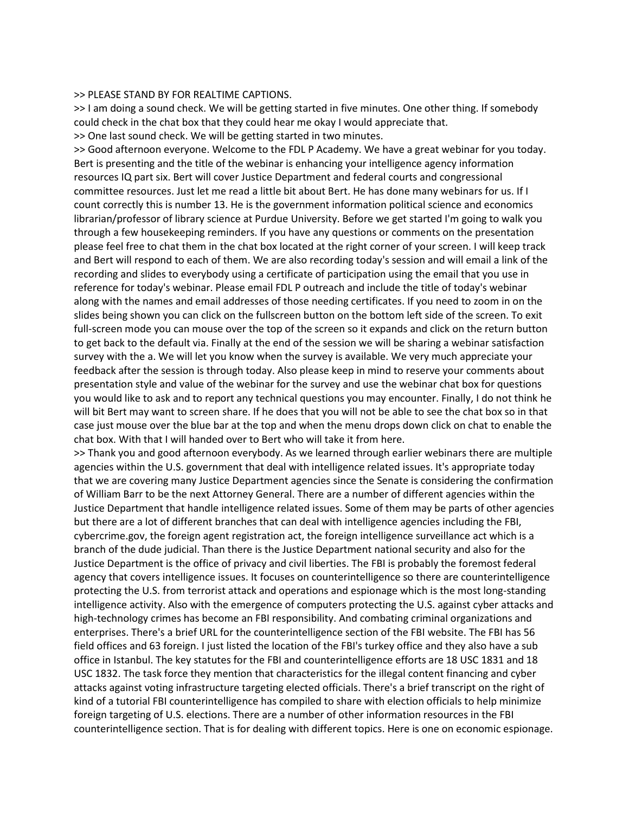## >> PLEASE STAND BY FOR REALTIME CAPTIONS.

>> I am doing a sound check. We will be getting started in five minutes. One other thing. If somebody could check in the chat box that they could hear me okay I would appreciate that. >> One last sound check. We will be getting started in two minutes.

>> Good afternoon everyone. Welcome to the FDL P Academy. We have a great webinar for you today. Bert is presenting and the title of the webinar is enhancing your intelligence agency information resources IQ part six. Bert will cover Justice Department and federal courts and congressional committee resources. Just let me read a little bit about Bert. He has done many webinars for us. If I count correctly this is number 13. He is the government information political science and economics librarian/professor of library science at Purdue University. Before we get started I'm going to walk you through a few housekeeping reminders. If you have any questions or comments on the presentation please feel free to chat them in the chat box located at the right corner of your screen. I will keep track and Bert will respond to each of them. We are also recording today's session and will email a link of the recording and slides to everybody using a certificate of participation using the email that you use in reference for today's webinar. Please email FDL P outreach and include the title of today's webinar along with the names and email addresses of those needing certificates. If you need to zoom in on the slides being shown you can click on the fullscreen button on the bottom left side of the screen. To exit full-screen mode you can mouse over the top of the screen so it expands and click on the return button to get back to the default via. Finally at the end of the session we will be sharing a webinar satisfaction survey with the a. We will let you know when the survey is available. We very much appreciate your feedback after the session is through today. Also please keep in mind to reserve your comments about presentation style and value of the webinar for the survey and use the webinar chat box for questions you would like to ask and to report any technical questions you may encounter. Finally, I do not think he will bit Bert may want to screen share. If he does that you will not be able to see the chat box so in that case just mouse over the blue bar at the top and when the menu drops down click on chat to enable the chat box. With that I will handed over to Bert who will take it from here.

>> Thank you and good afternoon everybody. As we learned through earlier webinars there are multiple agencies within the U.S. government that deal with intelligence related issues. It's appropriate today that we are covering many Justice Department agencies since the Senate is considering the confirmation of William Barr to be the next Attorney General. There are a number of different agencies within the Justice Department that handle intelligence related issues. Some of them may be parts of other agencies but there are a lot of different branches that can deal with intelligence agencies including the FBI, cybercrime.gov, the foreign agent registration act, the foreign intelligence surveillance act which is a branch of the dude judicial. Than there is the Justice Department national security and also for the Justice Department is the office of privacy and civil liberties. The FBI is probably the foremost federal agency that covers intelligence issues. It focuses on counterintelligence so there are counterintelligence protecting the U.S. from terrorist attack and operations and espionage which is the most long-standing intelligence activity. Also with the emergence of computers protecting the U.S. against cyber attacks and high-technology crimes has become an FBI responsibility. And combating criminal organizations and enterprises. There's a brief URL for the counterintelligence section of the FBI website. The FBI has 56 field offices and 63 foreign. I just listed the location of the FBI's turkey office and they also have a sub office in Istanbul. The key statutes for the FBI and counterintelligence efforts are 18 USC 1831 and 18 USC 1832. The task force they mention that characteristics for the illegal content financing and cyber attacks against voting infrastructure targeting elected officials. There's a brief transcript on the right of kind of a tutorial FBI counterintelligence has compiled to share with election officials to help minimize foreign targeting of U.S. elections. There are a number of other information resources in the FBI counterintelligence section. That is for dealing with different topics. Here is one on economic espionage.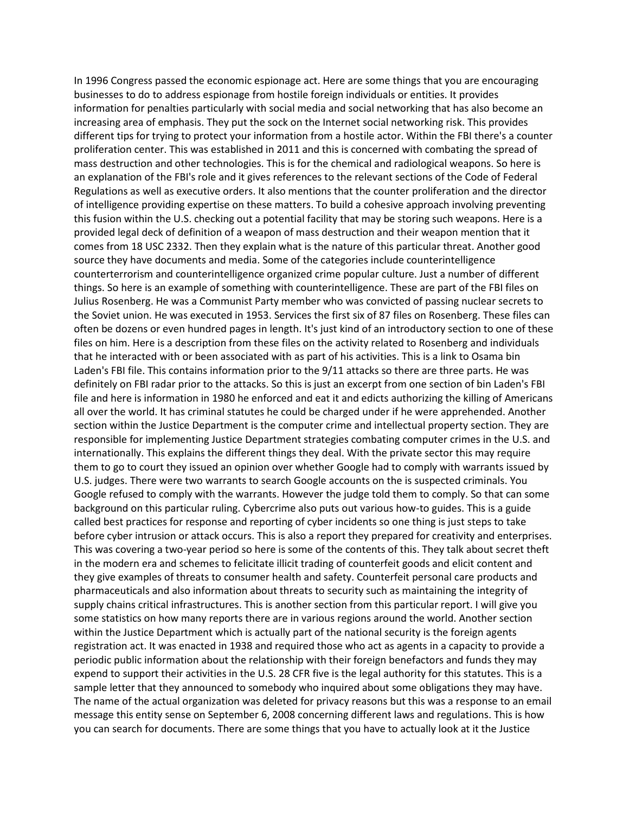In 1996 Congress passed the economic espionage act. Here are some things that you are encouraging businesses to do to address espionage from hostile foreign individuals or entities. It provides information for penalties particularly with social media and social networking that has also become an increasing area of emphasis. They put the sock on the Internet social networking risk. This provides different tips for trying to protect your information from a hostile actor. Within the FBI there's a counter proliferation center. This was established in 2011 and this is concerned with combating the spread of mass destruction and other technologies. This is for the chemical and radiological weapons. So here is an explanation of the FBI's role and it gives references to the relevant sections of the Code of Federal Regulations as well as executive orders. It also mentions that the counter proliferation and the director of intelligence providing expertise on these matters. To build a cohesive approach involving preventing this fusion within the U.S. checking out a potential facility that may be storing such weapons. Here is a provided legal deck of definition of a weapon of mass destruction and their weapon mention that it comes from 18 USC 2332. Then they explain what is the nature of this particular threat. Another good source they have documents and media. Some of the categories include counterintelligence counterterrorism and counterintelligence organized crime popular culture. Just a number of different things. So here is an example of something with counterintelligence. These are part of the FBI files on Julius Rosenberg. He was a Communist Party member who was convicted of passing nuclear secrets to the Soviet union. He was executed in 1953. Services the first six of 87 files on Rosenberg. These files can often be dozens or even hundred pages in length. It's just kind of an introductory section to one of these files on him. Here is a description from these files on the activity related to Rosenberg and individuals that he interacted with or been associated with as part of his activities. This is a link to Osama bin Laden's FBI file. This contains information prior to the 9/11 attacks so there are three parts. He was definitely on FBI radar prior to the attacks. So this is just an excerpt from one section of bin Laden's FBI file and here is information in 1980 he enforced and eat it and edicts authorizing the killing of Americans all over the world. It has criminal statutes he could be charged under if he were apprehended. Another section within the Justice Department is the computer crime and intellectual property section. They are responsible for implementing Justice Department strategies combating computer crimes in the U.S. and internationally. This explains the different things they deal. With the private sector this may require them to go to court they issued an opinion over whether Google had to comply with warrants issued by U.S. judges. There were two warrants to search Google accounts on the is suspected criminals. You Google refused to comply with the warrants. However the judge told them to comply. So that can some background on this particular ruling. Cybercrime also puts out various how-to guides. This is a guide called best practices for response and reporting of cyber incidents so one thing is just steps to take before cyber intrusion or attack occurs. This is also a report they prepared for creativity and enterprises. This was covering a two-year period so here is some of the contents of this. They talk about secret theft in the modern era and schemes to felicitate illicit trading of counterfeit goods and elicit content and they give examples of threats to consumer health and safety. Counterfeit personal care products and pharmaceuticals and also information about threats to security such as maintaining the integrity of supply chains critical infrastructures. This is another section from this particular report. I will give you some statistics on how many reports there are in various regions around the world. Another section within the Justice Department which is actually part of the national security is the foreign agents registration act. It was enacted in 1938 and required those who act as agents in a capacity to provide a periodic public information about the relationship with their foreign benefactors and funds they may expend to support their activities in the U.S. 28 CFR five is the legal authority for this statutes. This is a sample letter that they announced to somebody who inquired about some obligations they may have. The name of the actual organization was deleted for privacy reasons but this was a response to an email message this entity sense on September 6, 2008 concerning different laws and regulations. This is how you can search for documents. There are some things that you have to actually look at it the Justice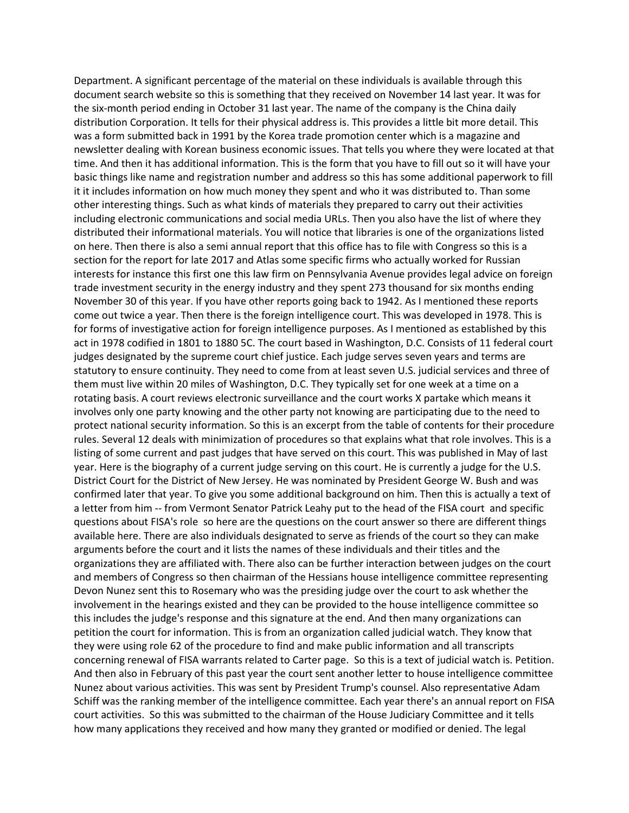Department. A significant percentage of the material on these individuals is available through this document search website so this is something that they received on November 14 last year. It was for the six-month period ending in October 31 last year. The name of the company is the China daily distribution Corporation. It tells for their physical address is. This provides a little bit more detail. This was a form submitted back in 1991 by the Korea trade promotion center which is a magazine and newsletter dealing with Korean business economic issues. That tells you where they were located at that time. And then it has additional information. This is the form that you have to fill out so it will have your basic things like name and registration number and address so this has some additional paperwork to fill it it includes information on how much money they spent and who it was distributed to. Than some other interesting things. Such as what kinds of materials they prepared to carry out their activities including electronic communications and social media URLs. Then you also have the list of where they distributed their informational materials. You will notice that libraries is one of the organizations listed on here. Then there is also a semi annual report that this office has to file with Congress so this is a section for the report for late 2017 and Atlas some specific firms who actually worked for Russian interests for instance this first one this law firm on Pennsylvania Avenue provides legal advice on foreign trade investment security in the energy industry and they spent 273 thousand for six months ending November 30 of this year. If you have other reports going back to 1942. As I mentioned these reports come out twice a year. Then there is the foreign intelligence court. This was developed in 1978. This is for forms of investigative action for foreign intelligence purposes. As I mentioned as established by this act in 1978 codified in 1801 to 1880 5C. The court based in Washington, D.C. Consists of 11 federal court judges designated by the supreme court chief justice. Each judge serves seven years and terms are statutory to ensure continuity. They need to come from at least seven U.S. judicial services and three of them must live within 20 miles of Washington, D.C. They typically set for one week at a time on a rotating basis. A court reviews electronic surveillance and the court works X partake which means it involves only one party knowing and the other party not knowing are participating due to the need to protect national security information. So this is an excerpt from the table of contents for their procedure rules. Several 12 deals with minimization of procedures so that explains what that role involves. This is a listing of some current and past judges that have served on this court. This was published in May of last year. Here is the biography of a current judge serving on this court. He is currently a judge for the U.S. District Court for the District of New Jersey. He was nominated by President George W. Bush and was confirmed later that year. To give you some additional background on him. Then this is actually a text of a letter from him -- from Vermont Senator Patrick Leahy put to the head of the FISA court and specific questions about FISA's role so here are the questions on the court answer so there are different things available here. There are also individuals designated to serve as friends of the court so they can make arguments before the court and it lists the names of these individuals and their titles and the organizations they are affiliated with. There also can be further interaction between judges on the court and members of Congress so then chairman of the Hessians house intelligence committee representing Devon Nunez sent this to Rosemary who was the presiding judge over the court to ask whether the involvement in the hearings existed and they can be provided to the house intelligence committee so this includes the judge's response and this signature at the end. And then many organizations can petition the court for information. This is from an organization called judicial watch. They know that they were using role 62 of the procedure to find and make public information and all transcripts concerning renewal of FISA warrants related to Carter page. So this is a text of judicial watch is. Petition. And then also in February of this past year the court sent another letter to house intelligence committee Nunez about various activities. This was sent by President Trump's counsel. Also representative Adam Schiff was the ranking member of the intelligence committee. Each year there's an annual report on FISA court activities. So this was submitted to the chairman of the House Judiciary Committee and it tells how many applications they received and how many they granted or modified or denied. The legal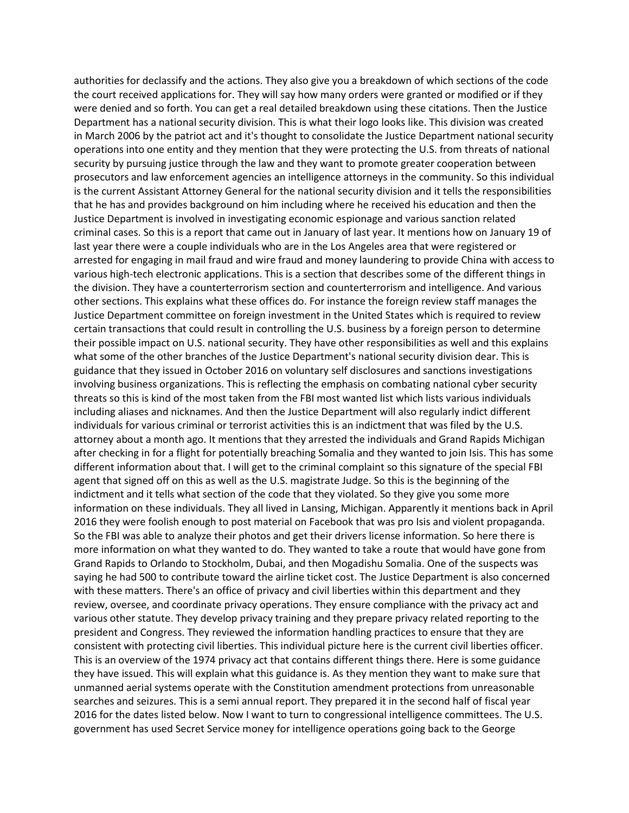authorities for declassify and the actions. They also give you a breakdown of which sections of the code the court received applications for. They will say how many orders were granted or modified or if they were denied and so forth. You can get a real detailed breakdown using these citations. Then the Justice Department has a national security division. This is what their logo looks like. This division was created in March 2006 by the patriot act and it's thought to consolidate the Justice Department national security operations into one entity and they mention that they were protecting the U.S. from threats of national security by pursuing justice through the law and they want to promote greater cooperation between prosecutors and law enforcement agencies an intelligence attorneys in the community. So this individual is the current Assistant Attorney General for the national security division and it tells the responsibilities that he has and provides background on him including where he received his education and then the Justice Department is involved in investigating economic espionage and various sanction related criminal cases. So this is a report that came out in January of last year. It mentions how on January 19 of last year there were a couple individuals who are in the Los Angeles area that were registered or arrested for engaging in mail fraud and wire fraud and money laundering to provide China with access to various high-tech electronic applications. This is a section that describes some of the different things in the division. They have a counterterrorism section and counterterrorism and intelligence. And various other sections. This explains what these offices do. For instance the foreign review staff manages the Justice Department committee on foreign investment in the United States which is required to review certain transactions that could result in controlling the U.S. business by a foreign person to determine their possible impact on U.S. national security. They have other responsibilities as well and this explains what some of the other branches of the Justice Department's national security division dear. This is guidance that they issued in October 2016 on voluntary self disclosures and sanctions investigations involving business organizations. This is reflecting the emphasis on combating national cyber security threats so this is kind of the most taken from the FBI most wanted list which lists various individuals including aliases and nicknames. And then the Justice Department will also regularly indict different individuals for various criminal or terrorist activities this is an indictment that was filed by the U.S. attorney about a month ago. It mentions that they arrested the individuals and Grand Rapids Michigan after checking in for a flight for potentially breaching Somalia and they wanted to join Isis. This has some different information about that. I will get to the criminal complaint so this signature of the special FBI agent that signed off on this as well as the U.S. magistrate Judge. So this is the beginning of the indictment and it tells what section of the code that they violated. So they give you some more information on these individuals. They all lived in Lansing, Michigan. Apparently it mentions back in April 2016 they were foolish enough to post material on Facebook that was pro Isis and violent propaganda. So the FBI was able to analyze their photos and get their drivers license information. So here there is more information on what they wanted to do. They wanted to take a route that would have gone from Grand Rapids to Orlando to Stockholm, Dubai, and then Mogadishu Somalia. One of the suspects was saying he had 500 to contribute toward the airline ticket cost. The Justice Department is also concerned with these matters. There's an office of privacy and civil liberties within this department and they review, oversee, and coordinate privacy operations. They ensure compliance with the privacy act and various other statute. They develop privacy training and they prepare privacy related reporting to the president and Congress. They reviewed the information handling practices to ensure that they are consistent with protecting civil liberties. This individual picture here is the current civil liberties officer. This is an overview of the 1974 privacy act that contains different things there. Here is some guidance they have issued. This will explain what this guidance is. As they mention they want to make sure that unmanned aerial systems operate with the Constitution amendment protections from unreasonable searches and seizures. This is a semi annual report. They prepared it in the second half of fiscal year 2016 for the dates listed below. Now I want to turn to congressional intelligence committees. The U.S. government has used Secret Service money for intelligence operations going back to the George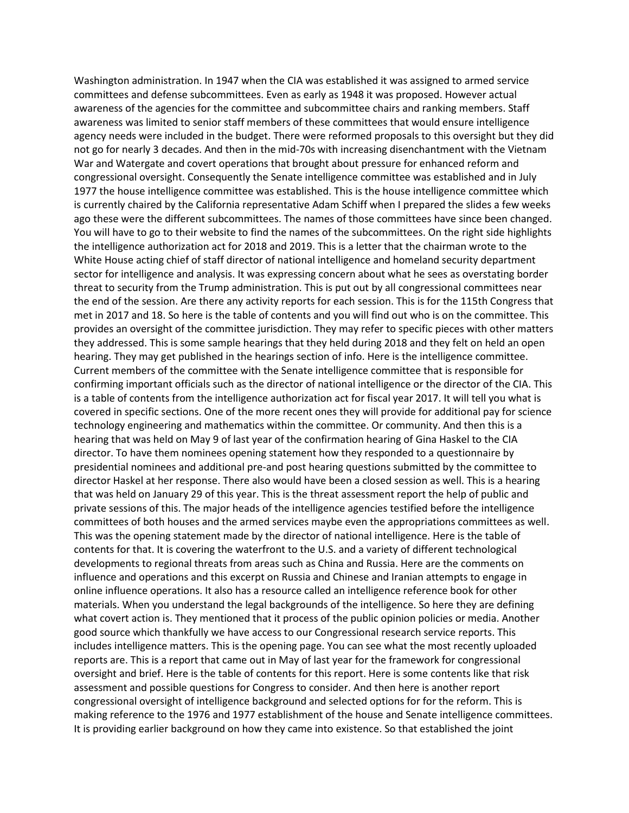Washington administration. In 1947 when the CIA was established it was assigned to armed service committees and defense subcommittees. Even as early as 1948 it was proposed. However actual awareness of the agencies for the committee and subcommittee chairs and ranking members. Staff awareness was limited to senior staff members of these committees that would ensure intelligence agency needs were included in the budget. There were reformed proposals to this oversight but they did not go for nearly 3 decades. And then in the mid-70s with increasing disenchantment with the Vietnam War and Watergate and covert operations that brought about pressure for enhanced reform and congressional oversight. Consequently the Senate intelligence committee was established and in July 1977 the house intelligence committee was established. This is the house intelligence committee which is currently chaired by the California representative Adam Schiff when I prepared the slides a few weeks ago these were the different subcommittees. The names of those committees have since been changed. You will have to go to their website to find the names of the subcommittees. On the right side highlights the intelligence authorization act for 2018 and 2019. This is a letter that the chairman wrote to the White House acting chief of staff director of national intelligence and homeland security department sector for intelligence and analysis. It was expressing concern about what he sees as overstating border threat to security from the Trump administration. This is put out by all congressional committees near the end of the session. Are there any activity reports for each session. This is for the 115th Congress that met in 2017 and 18. So here is the table of contents and you will find out who is on the committee. This provides an oversight of the committee jurisdiction. They may refer to specific pieces with other matters they addressed. This is some sample hearings that they held during 2018 and they felt on held an open hearing. They may get published in the hearings section of info. Here is the intelligence committee. Current members of the committee with the Senate intelligence committee that is responsible for confirming important officials such as the director of national intelligence or the director of the CIA. This is a table of contents from the intelligence authorization act for fiscal year 2017. It will tell you what is covered in specific sections. One of the more recent ones they will provide for additional pay for science technology engineering and mathematics within the committee. Or community. And then this is a hearing that was held on May 9 of last year of the confirmation hearing of Gina Haskel to the CIA director. To have them nominees opening statement how they responded to a questionnaire by presidential nominees and additional pre-and post hearing questions submitted by the committee to director Haskel at her response. There also would have been a closed session as well. This is a hearing that was held on January 29 of this year. This is the threat assessment report the help of public and private sessions of this. The major heads of the intelligence agencies testified before the intelligence committees of both houses and the armed services maybe even the appropriations committees as well. This was the opening statement made by the director of national intelligence. Here is the table of contents for that. It is covering the waterfront to the U.S. and a variety of different technological developments to regional threats from areas such as China and Russia. Here are the comments on influence and operations and this excerpt on Russia and Chinese and Iranian attempts to engage in online influence operations. It also has a resource called an intelligence reference book for other materials. When you understand the legal backgrounds of the intelligence. So here they are defining what covert action is. They mentioned that it process of the public opinion policies or media. Another good source which thankfully we have access to our Congressional research service reports. This includes intelligence matters. This is the opening page. You can see what the most recently uploaded reports are. This is a report that came out in May of last year for the framework for congressional oversight and brief. Here is the table of contents for this report. Here is some contents like that risk assessment and possible questions for Congress to consider. And then here is another report congressional oversight of intelligence background and selected options for for the reform. This is making reference to the 1976 and 1977 establishment of the house and Senate intelligence committees. It is providing earlier background on how they came into existence. So that established the joint